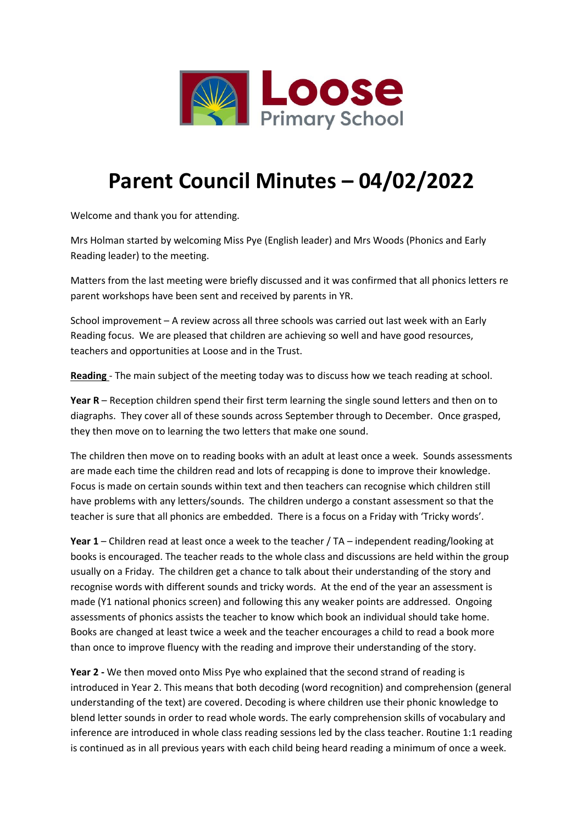

## **Parent Council Minutes – 04/02/2022**

Welcome and thank you for attending.

Mrs Holman started by welcoming Miss Pye (English leader) and Mrs Woods (Phonics and Early Reading leader) to the meeting.

Matters from the last meeting were briefly discussed and it was confirmed that all phonics letters re parent workshops have been sent and received by parents in YR.

School improvement – A review across all three schools was carried out last week with an Early Reading focus. We are pleased that children are achieving so well and have good resources, teachers and opportunities at Loose and in the Trust.

**Reading** - The main subject of the meeting today was to discuss how we teach reading at school.

**Year R** – Reception children spend their first term learning the single sound letters and then on to diagraphs. They cover all of these sounds across September through to December. Once grasped, they then move on to learning the two letters that make one sound.

The children then move on to reading books with an adult at least once a week. Sounds assessments are made each time the children read and lots of recapping is done to improve their knowledge. Focus is made on certain sounds within text and then teachers can recognise which children still have problems with any letters/sounds. The children undergo a constant assessment so that the teacher is sure that all phonics are embedded. There is a focus on a Friday with 'Tricky words'.

**Year 1** – Children read at least once a week to the teacher / TA – independent reading/looking at books is encouraged. The teacher reads to the whole class and discussions are held within the group usually on a Friday. The children get a chance to talk about their understanding of the story and recognise words with different sounds and tricky words. At the end of the year an assessment is made (Y1 national phonics screen) and following this any weaker points are addressed. Ongoing assessments of phonics assists the teacher to know which book an individual should take home. Books are changed at least twice a week and the teacher encourages a child to read a book more than once to improve fluency with the reading and improve their understanding of the story.

**Year 2 -** We then moved onto Miss Pye who explained that the second strand of reading is introduced in Year 2. This means that both decoding (word recognition) and comprehension (general understanding of the text) are covered. Decoding is where children use their phonic knowledge to blend letter sounds in order to read whole words. The early comprehension skills of vocabulary and inference are introduced in whole class reading sessions led by the class teacher. Routine 1:1 reading is continued as in all previous years with each child being heard reading a minimum of once a week.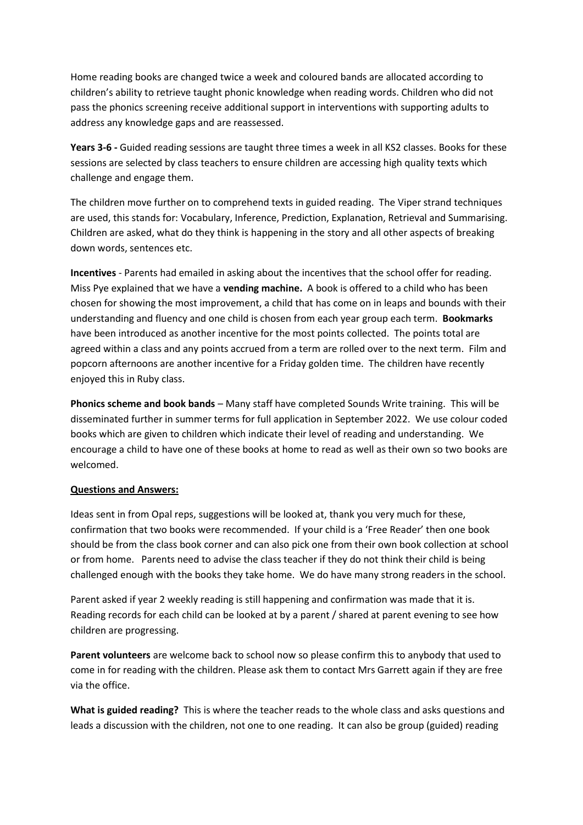Home reading books are changed twice a week and coloured bands are allocated according to children's ability to retrieve taught phonic knowledge when reading words. Children who did not pass the phonics screening receive additional support in interventions with supporting adults to address any knowledge gaps and are reassessed.

**Years 3-6 -** Guided reading sessions are taught three times a week in all KS2 classes. Books for these sessions are selected by class teachers to ensure children are accessing high quality texts which challenge and engage them.

The children move further on to comprehend texts in guided reading. The Viper strand techniques are used, this stands for: Vocabulary, Inference, Prediction, Explanation, Retrieval and Summarising. Children are asked, what do they think is happening in the story and all other aspects of breaking down words, sentences etc.

**Incentives** - Parents had emailed in asking about the incentives that the school offer for reading. Miss Pye explained that we have a **vending machine.** A book is offered to a child who has been chosen for showing the most improvement, a child that has come on in leaps and bounds with their understanding and fluency and one child is chosen from each year group each term. **Bookmarks** have been introduced as another incentive for the most points collected. The points total are agreed within a class and any points accrued from a term are rolled over to the next term. Film and popcorn afternoons are another incentive for a Friday golden time. The children have recently enjoyed this in Ruby class.

**Phonics scheme and book bands** – Many staff have completed Sounds Write training. This will be disseminated further in summer terms for full application in September 2022. We use colour coded books which are given to children which indicate their level of reading and understanding. We encourage a child to have one of these books at home to read as well as their own so two books are welcomed.

## **Questions and Answers:**

Ideas sent in from Opal reps, suggestions will be looked at, thank you very much for these, confirmation that two books were recommended. If your child is a 'Free Reader' then one book should be from the class book corner and can also pick one from their own book collection at school or from home. Parents need to advise the class teacher if they do not think their child is being challenged enough with the books they take home. We do have many strong readers in the school.

Parent asked if year 2 weekly reading is still happening and confirmation was made that it is. Reading records for each child can be looked at by a parent / shared at parent evening to see how children are progressing.

**Parent volunteers** are welcome back to school now so please confirm this to anybody that used to come in for reading with the children. Please ask them to contact Mrs Garrett again if they are free via the office.

**What is guided reading?** This is where the teacher reads to the whole class and asks questions and leads a discussion with the children, not one to one reading. It can also be group (guided) reading